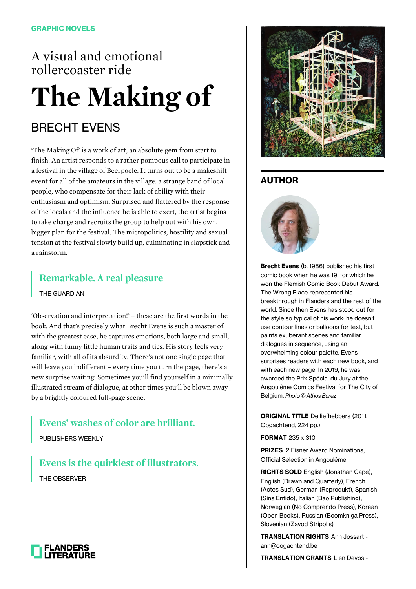# A visual and emotional rollercoaster ride **The Making of**

## BRECHT EVENS

'The Making Of' is a work of art, an absolute gem from start to finish. An artist responds to a rather pompous call to participate in a festival in the village of Beerpoele. It turns out to be a makeshift event for all of the amateurs in the village: a strange band of local people, who compensate for their lack of ability with their enthusiasm and optimism. Surprised and flattered by the response of the locals and the influence he is able to exert, the artist begins to take charge and recruits the group to help out with his own, bigger plan for the festival. The micropolitics, hostility and sexual tension at the festival slowly build up, culminating in slapstick and a rainstorm.

### **Remarkable. A real pleasure**

THE GUARDIAN

'Observation and interpretation!' – these are the first words in the book. And that's precisely what Brecht Evens is such a master of: with the greatest ease, he captures emotions, both large and small, along with funny little human traits and tics. His story feels very familiar, with all of its absurdity. There's not one single page that will leave you indifferent – every time you turn the page, there's a new surprise waiting. Sometimes you'll find yourself in a minimally illustrated stream of dialogue, at other times you'll be blown away by a brightly coloured full-page scene.

#### **Evens' washes of color are brilliant.**

PUBLISHERS WEEKLY

**Evens is the quirkiest of illustrators.** THE OBSERVER





### **AUTHOR**



**Brecht Evens** (b. 1986) published his first comic book when he was 19, for which he won the Flemish Comic Book Debut Award. The Wrong Place represented his breakthrough in Flanders and the rest of the world. Since then Evens has stood out for the style so typical of his work: he doesn't use contour lines or balloons for text, but paints exuberant scenes and familiar dialogues in sequence, using an overwhelming colour palette. Evens surprises readers with each new book, and with each new page. In 2019, he was awarded the Prix Spécial du Jury at the Angoulême Comics Festival for The City of Belgium. Photo © Athos Burez

**ORIGINAL TITLE** De liefhebbers (2011, Oogachtend, 224 pp.)

**FORMAT** 235 x 310

**PRIZES** 2 Eisner Award Nominations, Official Selection in Angoulême

**RIGHTS SOLD** English (Jonathan Cape), English (Drawn and Quarterly), French (Actes Sud), German (Reprodukt), Spanish (Sins Entido), Italian (Bao Publishing), Norwegian (No Comprendo Press), Korean (Open Books), Russian (Boomkniga Press), Slovenian (Zavod Stripolis)

**TRANSLATION RIGHTS** Ann Jossart ann@oogachtend.be

**TRANSLATION GRANTS** Lien Devos -